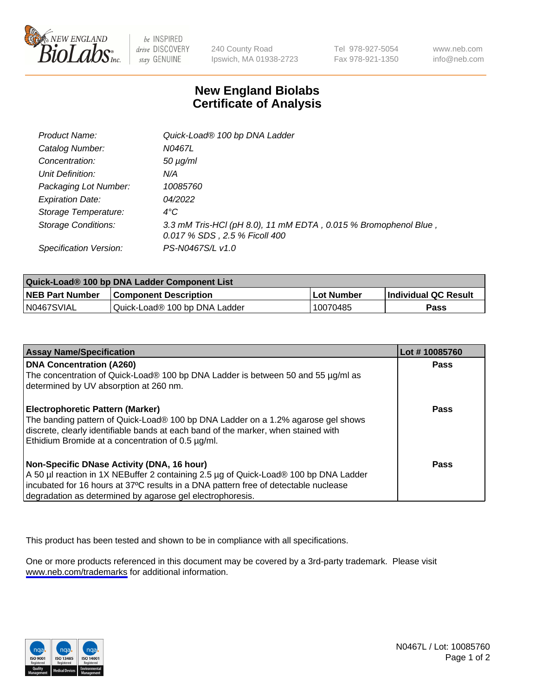

be INSPIRED drive DISCOVERY stay GENUINE

240 County Road Ipswich, MA 01938-2723 Tel 978-927-5054 Fax 978-921-1350

www.neb.com info@neb.com

## **New England Biolabs Certificate of Analysis**

| Product Name:              | Quick-Load® 100 bp DNA Ladder                                                                    |
|----------------------------|--------------------------------------------------------------------------------------------------|
| Catalog Number:            | N0467L                                                                                           |
| Concentration:             | <i>50 µg/ml</i>                                                                                  |
| Unit Definition:           | N/A                                                                                              |
| Packaging Lot Number:      | 10085760                                                                                         |
| <b>Expiration Date:</b>    | 04/2022                                                                                          |
| Storage Temperature:       | $4^{\circ}$ C                                                                                    |
| <b>Storage Conditions:</b> | 3.3 mM Tris-HCl (pH 8.0), 11 mM EDTA, 0.015 % Bromophenol Blue,<br>0.017 % SDS, 2.5 % Ficoll 400 |
| Specification Version:     | PS-N0467S/L v1.0                                                                                 |

| Quick-Load® 100 bp DNA Ladder Component List |                               |             |                             |  |
|----------------------------------------------|-------------------------------|-------------|-----------------------------|--|
| <b>NEB Part Number</b>                       | <b>Component Description</b>  | ⊥Lot Number | <b>Individual QC Result</b> |  |
| N0467SVIAL                                   | Quick-Load® 100 bp DNA Ladder | 10070485    | Pass                        |  |

| <b>Assay Name/Specification</b>                                                                                                                                                                                                                                                        | Lot #10085760 |
|----------------------------------------------------------------------------------------------------------------------------------------------------------------------------------------------------------------------------------------------------------------------------------------|---------------|
| <b>DNA Concentration (A260)</b><br>The concentration of Quick-Load® 100 bp DNA Ladder is between 50 and 55 µg/ml as<br>determined by UV absorption at 260 nm.                                                                                                                          | <b>Pass</b>   |
| <b>Electrophoretic Pattern (Marker)</b><br>The banding pattern of Quick-Load® 100 bp DNA Ladder on a 1.2% agarose gel shows<br>discrete, clearly identifiable bands at each band of the marker, when stained with<br>Ethidium Bromide at a concentration of 0.5 µg/ml.                 | Pass          |
| Non-Specific DNase Activity (DNA, 16 hour)<br>A 50 µl reaction in 1X NEBuffer 2 containing 2.5 µg of Quick-Load® 100 bp DNA Ladder<br>incubated for 16 hours at 37°C results in a DNA pattern free of detectable nuclease<br>degradation as determined by agarose gel electrophoresis. | Pass          |

This product has been tested and shown to be in compliance with all specifications.

One or more products referenced in this document may be covered by a 3rd-party trademark. Please visit <www.neb.com/trademarks>for additional information.